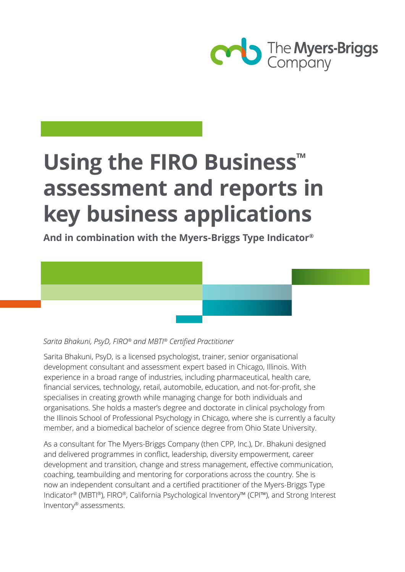

# **Using the FIRO Business™ assessment and reports in key business applications**

**And in combination with the Myers-Briggs Type Indicator®**



## *Sarita Bhakuni, PsyD, FIRO® and MBTI® Certified Practitioner*

Sarita Bhakuni, PsyD, is a licensed psychologist, trainer, senior organisational development consultant and assessment expert based in Chicago, Illinois. With experience in a broad range of industries, including pharmaceutical, health care, financial services, technology, retail, automobile, education, and not-for-profit, she specialises in creating growth while managing change for both individuals and organisations. She holds a master's degree and doctorate in clinical psychology from the Illinois School of Professional Psychology in Chicago, where she is currently a faculty member, and a biomedical bachelor of science degree from Ohio State University.

As a consultant for The Myers-Briggs Company (then CPP, Inc.), Dr. Bhakuni designed and delivered programmes in conflict, leadership, diversity empowerment, career development and transition, change and stress management, effective communication, coaching, teambuilding and mentoring for corporations across the country. She is now an independent consultant and a certified practitioner of the Myers-Briggs Type Indicator® (MBTI®), FIRO®, California Psychological Inventory™ (CPI™), and Strong Interest Inventory® assessments.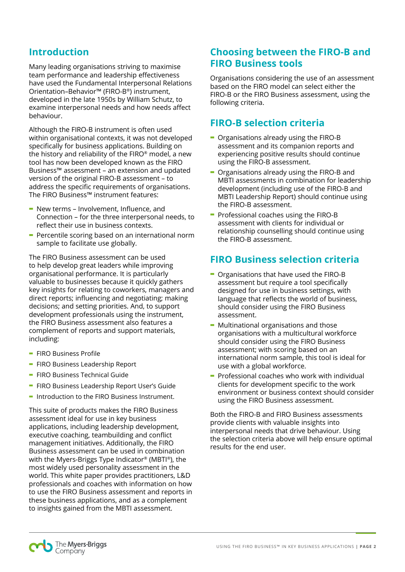# **Introduction**

Many leading organisations striving to maximise team performance and leadership effectiveness have used the Fundamental Interpersonal Relations Orientation–Behavior™ (FIRO-B®) instrument, developed in the late 1950s by William Schutz, to examine interpersonal needs and how needs affect behaviour.

Although the FIRO-B instrument is often used within organisational contexts, it was not developed specifically for business applications. Building on the history and reliability of the FIRO® model, a new tool has now been developed known as the FIRO Business™ assessment – an extension and updated version of the original FIRO-B assessment – to address the specific requirements of organisations. The FIRO Business™ instrument features:

- **-** New terms Involvement, Influence, and Connection – for the three interpersonal needs, to reflect their use in business contexts.
- **-** Percentile scoring based on an international norm sample to facilitate use globally.

The FIRO Business assessment can be used to help develop great leaders while improving organisational performance. It is particularly valuable to businesses because it quickly gathers key insights for relating to coworkers, managers and direct reports; influencing and negotiating; making decisions; and setting priorities. And, to support development professionals using the instrument, the FIRO Business assessment also features a complement of reports and support materials, including:

- **-** FIRO Business Profile
- **-** FIRO Business Leadership Report
- **-** FIRO Business Technical Guide
- **-** FIRO Business Leadership Report User's Guide
- **-** Introduction to the FIRO Business Instrument.

This suite of products makes the FIRO Business assessment ideal for use in key business applications, including leadership development, executive coaching, teambuilding and conflict management initiatives. Additionally, the FIRO Business assessment can be used in combination with the Myers-Briggs Type Indicator® (MBTI®), the most widely used personality assessment in the world. This white paper provides practitioners, L&D professionals and coaches with information on how to use the FIRO Business assessment and reports in these business applications, and as a complement to insights gained from the MBTI assessment.

## **Choosing between the FIRO-B and FIRO Business tools**

Organisations considering the use of an assessment based on the FIRO model can select either the FIRO-B or the FIRO Business assessment, using the following criteria.

## **FIRO-B selection criteria**

- **-** Organisations already using the FIRO-B assessment and its companion reports and experiencing positive results should continue using the FIRO-B assessment.
- **-** Organisations already using the FIRO-B and MBTI assessments in combination for leadership development (including use of the FIRO-B and MBTI Leadership Report) should continue using the FIRO-B assessment.
- **-** Professional coaches using the FIRO-B assessment with clients for individual or relationship counselling should continue using the FIRO-B assessment.

## **FIRO Business selection criteria**

- **-** Organisations that have used the FIRO-B assessment but require a tool specifically designed for use in business settings, with language that reflects the world of business, should consider using the FIRO Business assessment.
- **-** Multinational organisations and those organisations with a multicultural workforce should consider using the FIRO Business assessment; with scoring based on an international norm sample, this tool is ideal for use with a global workforce.
- **-** Professional coaches who work with individual clients for development specific to the work environment or business context should consider using the FIRO Business assessment.

Both the FIRO-B and FIRO Business assessments provide clients with valuable insights into interpersonal needs that drive behaviour. Using the selection criteria above will help ensure optimal results for the end user.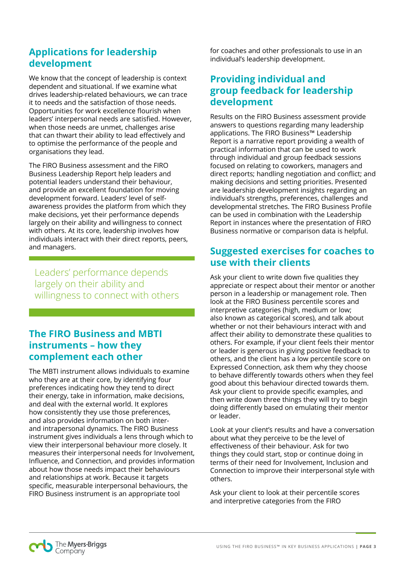# **Applications for leadership development**

We know that the concept of leadership is context dependent and situational. If we examine what drives leadership-related behaviours, we can trace it to needs and the satisfaction of those needs. Opportunities for work excellence flourish when leaders' interpersonal needs are satisfied. However, when those needs are unmet, challenges arise that can thwart their ability to lead effectively and to optimise the performance of the people and organisations they lead.

The FIRO Business assessment and the FIRO Business Leadership Report help leaders and potential leaders understand their behaviour, and provide an excellent foundation for moving development forward. Leaders' level of selfawareness provides the platform from which they make decisions, yet their performance depends largely on their ability and willingness to connect with others. At its core, leadership involves how individuals interact with their direct reports, peers, and managers.

Leaders' performance depends largely on their ability and willingness to connect with others

# **The FIRO Business and MBTI instruments – how they complement each other**

The MBTI instrument allows individuals to examine who they are at their core, by identifying four preferences indicating how they tend to direct their energy, take in information, make decisions, and deal with the external world. It explores how consistently they use those preferences, and also provides information on both interand intrapersonal dynamics. The FIRO Business instrument gives individuals a lens through which to view their interpersonal behaviour more closely. It measures their interpersonal needs for Involvement, Influence, and Connection, and provides information about how those needs impact their behaviours and relationships at work. Because it targets specific, measurable interpersonal behaviours, the FIRO Business instrument is an appropriate tool

for coaches and other professionals to use in an individual's leadership development.

# **Providing individual and group feedback for leadership development**

Results on the FIRO Business assessment provide answers to questions regarding many leadership applications. The FIRO Business™ Leadership Report is a narrative report providing a wealth of practical information that can be used to work through individual and group feedback sessions focused on relating to coworkers, managers and direct reports; handling negotiation and conflict; and making decisions and setting priorities. Presented are leadership development insights regarding an individual's strengths, preferences, challenges and developmental stretches. The FIRO Business Profile can be used in combination with the Leadership Report in instances where the presentation of FIRO Business normative or comparison data is helpful.

# **Suggested exercises for coaches to use with their clients**

Ask your client to write down five qualities they appreciate or respect about their mentor or another person in a leadership or management role. Then look at the FIRO Business percentile scores and interpretive categories (high, medium or low; also known as categorical scores), and talk about whether or not their behaviours interact with and affect their ability to demonstrate these qualities to others. For example, if your client feels their mentor or leader is generous in giving positive feedback to others, and the client has a low percentile score on Expressed Connection, ask them why they choose to behave differently towards others when they feel good about this behaviour directed towards them. Ask your client to provide specific examples, and then write down three things they will try to begin doing differently based on emulating their mentor or leader.

Look at your client's results and have a conversation about what they perceive to be the level of effectiveness of their behaviour. Ask for two things they could start, stop or continue doing in terms of their need for Involvement, Inclusion and Connection to improve their interpersonal style with others.

Ask your client to look at their percentile scores and interpretive categories from the FIRO

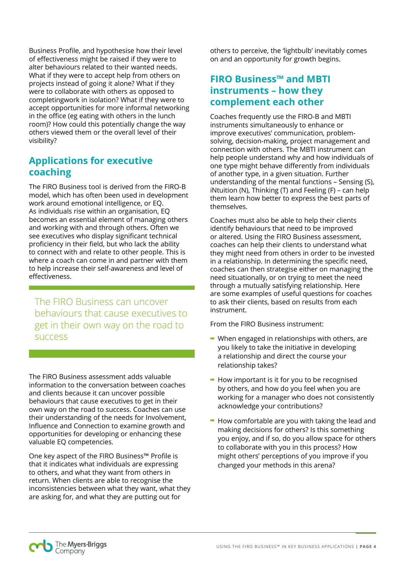Business Profile, and hypothesise how their level of effectiveness might be raised if they were to alter behaviours related to their wanted needs. What if they were to accept help from others on projects instead of going it alone? What if they were to collaborate with others as opposed to completingwork in isolation? What if they were to accept opportunities for more informal networking in the office (eg eating with others in the lunch room)? How could this potentially change the way others viewed them or the overall level of their visibility?

# **Applications for executive coaching**

The FIRO Business tool is derived from the FIRO-B model, which has often been used in development work around emotional intelligence, or EQ. As individuals rise within an organisation, EQ becomes an essential element of managing others and working with and through others. Often we see executives who display significant technical proficiency in their field, but who lack the ability to connect with and relate to other people. This is where a coach can come in and partner with them to help increase their self-awareness and level of effectiveness.

The FIRO Business can uncover behaviours that cause executives to get in their own way on the road to success

The FIRO Business assessment adds valuable information to the conversation between coaches and clients because it can uncover possible behaviours that cause executives to get in their own way on the road to success. Coaches can use their understanding of the needs for Involvement, Influence and Connection to examine growth and opportunities for developing or enhancing these valuable EQ competencies.

One key aspect of the FIRO Business™ Profile is that it indicates what individuals are expressing to others, and what they want from others in return. When clients are able to recognise the inconsistencies between what they want, what they are asking for, and what they are putting out for

others to perceive, the 'lightbulb' inevitably comes on and an opportunity for growth begins.

# **FIRO Business™ and MBTI instruments – how they complement each other**

Coaches frequently use the FIRO-B and MBTI instruments simultaneously to enhance or improve executives' communication, problemsolving, decision-making, project management and connection with others. The MBTI instrument can help people understand why and how individuals of one type might behave differently from individuals of another type, in a given situation. Further understanding of the mental functions – Sensing (S), iNtuition (N), Thinking (T) and Feeling (F) – can help them learn how better to express the best parts of themselves.

Coaches must also be able to help their clients identify behaviours that need to be improved or altered. Using the FIRO Business assessment, coaches can help their clients to understand what they might need from others in order to be invested in a relationship. In determining the specific need, coaches can then strategise either on managing the need situationally, or on trying to meet the need through a mutually satisfying relationship. Here are some examples of useful questions for coaches to ask their clients, based on results from each instrument.

From the FIRO Business instrument:

- **-** When engaged in relationships with others, are you likely to take the initiative in developing a relationship and direct the course your relationship takes?
- **-** How important is it for you to be recognised by others, and how do you feel when you are working for a manager who does not consistently acknowledge your contributions?
- **-** How comfortable are you with taking the lead and making decisions for others? Is this something you enjoy, and if so, do you allow space for others to collaborate with you in this process? How might others' perceptions of you improve if you changed your methods in this arena?

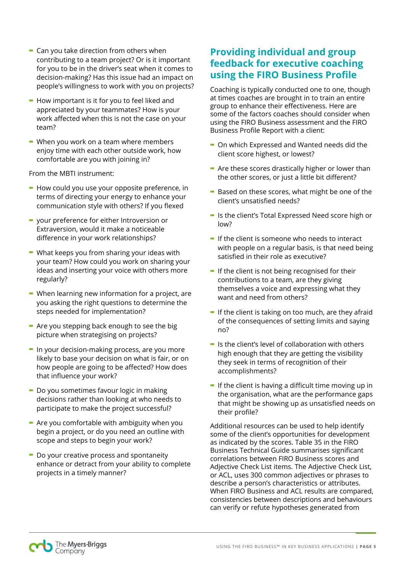- **-** Can you take direction from others when contributing to a team project? Or is it important for you to be in the driver's seat when it comes to decision-making? Has this issue had an impact on people's willingness to work with you on projects?
- **-** How important is it for you to feel liked and appreciated by your teammates? How is your work affected when this is not the case on your team?
- **-** When you work on a team where members enjoy time with each other outside work, how comfortable are you with joining in?

From the MBTI instrument:

- **-** How could you use your opposite preference, in terms of directing your energy to enhance your communication style with others? If you flexed
- **-** your preference for either Introversion or Extraversion, would it make a noticeable difference in your work relationships?
- **-** What keeps you from sharing your ideas with your team? How could you work on sharing your ideas and inserting your voice with others more regularly?
- **-** When learning new information for a project, are you asking the right questions to determine the steps needed for implementation?
- **-** Are you stepping back enough to see the big picture when strategising on projects?
- **-** In your decision-making process, are you more likely to base your decision on what is fair, or on how people are going to be affected? How does that influence your work?
- **-** Do you sometimes favour logic in making decisions rather than looking at who needs to participate to make the project successful?
- **-** Are you comfortable with ambiguity when you begin a project, or do you need an outline with scope and steps to begin your work?
- **-** Do your creative process and spontaneity enhance or detract from your ability to complete projects in a timely manner?

# **Providing individual and group feedback for executive coaching using the FIRO Business Profile**

Coaching is typically conducted one to one, though at times coaches are brought in to train an entire group to enhance their effectiveness. Here are some of the factors coaches should consider when using the FIRO Business assessment and the FIRO Business Profile Report with a client:

- **-** On which Expressed and Wanted needs did the client score highest, or lowest?
- **-** Are these scores drastically higher or lower than the other scores, or just a little bit different?
- **-** Based on these scores, what might be one of the client's unsatisfied needs?
- **-** Is the client's Total Expressed Need score high or low?
- **-** If the client is someone who needs to interact with people on a regular basis, is that need being satisfied in their role as executive?
- **-** If the client is not being recognised for their contributions to a team, are they giving themselves a voice and expressing what they want and need from others?
- **-** If the client is taking on too much, are they afraid of the consequences of setting limits and saying no?
- **-** Is the client's level of collaboration with others high enough that they are getting the visibility they seek in terms of recognition of their accomplishments?
- **-** If the client is having a difficult time moving up in the organisation, what are the performance gaps that might be showing up as unsatisfied needs on their profile?

Additional resources can be used to help identify some of the client's opportunities for development as indicated by the scores. Table 35 in the FIRO Business Technical Guide summarises significant correlations between FIRO Business scores and Adjective Check List items. The Adjective Check List, or ACL, uses 300 common adjectives or phrases to describe a person's characteristics or attributes. When FIRO Business and ACL results are compared, consistencies between descriptions and behaviours can verify or refute hypotheses generated from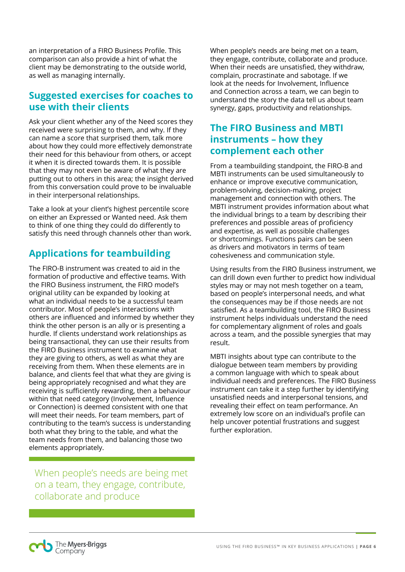an interpretation of a FIRO Business Profile. This comparison can also provide a hint of what the client may be demonstrating to the outside world, as well as managing internally.

## **Suggested exercises for coaches to use with their clients**

Ask your client whether any of the Need scores they received were surprising to them, and why. If they can name a score that surprised them, talk more about how they could more effectively demonstrate their need for this behaviour from others, or accept it when it is directed towards them. It is possible that they may not even be aware of what they are putting out to others in this area; the insight derived from this conversation could prove to be invaluable in their interpersonal relationships.

Take a look at your client's highest percentile score on either an Expressed or Wanted need. Ask them to think of one thing they could do differently to satisfy this need through channels other than work.

# **Applications for teambuilding**

The FIRO-B instrument was created to aid in the formation of productive and effective teams. With the FIRO Business instrument, the FIRO model's original utility can be expanded by looking at what an individual needs to be a successful team contributor. Most of people's interactions with others are influenced and informed by whether they think the other person is an ally or is presenting a hurdle. If clients understand work relationships as being transactional, they can use their results from the FIRO Business instrument to examine what they are giving to others, as well as what they are receiving from them. When these elements are in balance, and clients feel that what they are giving is being appropriately recognised and what they are receiving is sufficiently rewarding, then a behaviour within that need category (Involvement, Influence or Connection) is deemed consistent with one that will meet their needs. For team members, part of contributing to the team's success is understanding both what they bring to the table, and what the team needs from them, and balancing those two elements appropriately.

When people's needs are being met on a team, they engage, contribute, collaborate and produce

When people's needs are being met on a team, they engage, contribute, collaborate and produce. When their needs are unsatisfied, they withdraw, complain, procrastinate and sabotage. If we look at the needs for Involvement, Influence and Connection across a team, we can begin to understand the story the data tell us about team synergy, gaps, productivity and relationships.

# **The FIRO Business and MBTI instruments – how they complement each other**

From a teambuilding standpoint, the FIRO-B and MBTI instruments can be used simultaneously to enhance or improve executive communication, problem-solving, decision-making, project management and connection with others. The MBTI instrument provides information about what the individual brings to a team by describing their preferences and possible areas of proficiency and expertise, as well as possible challenges or shortcomings. Functions pairs can be seen as drivers and motivators in terms of team cohesiveness and communication style.

Using results from the FIRO Business instrument, we can drill down even further to predict how individual styles may or may not mesh together on a team, based on people's interpersonal needs, and what the consequences may be if those needs are not satisfied. As a teambuilding tool, the FIRO Business instrument helps individuals understand the need for complementary alignment of roles and goals across a team, and the possible synergies that may result.

MBTI insights about type can contribute to the dialogue between team members by providing a common language with which to speak about individual needs and preferences. The FIRO Business instrument can take it a step further by identifying unsatisfied needs and interpersonal tensions, and revealing their effect on team performance. An extremely low score on an individual's profile can help uncover potential frustrations and suggest further exploration.

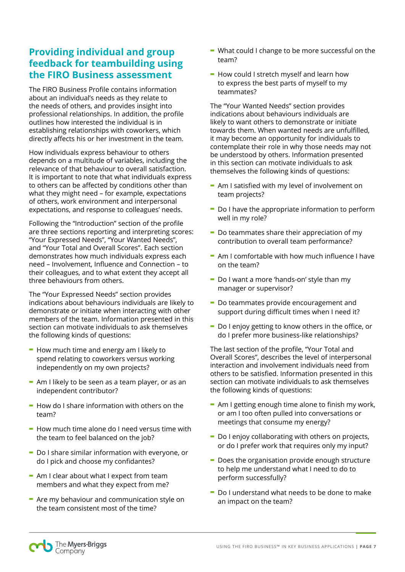# **Providing individual and group feedback for teambuilding using the FIRO Business assessment**

The FIRO Business Profile contains information about an individual's needs as they relate to the needs of others, and provides insight into professional relationships. In addition, the profile outlines how interested the individual is in establishing relationships with coworkers, which directly affects his or her investment in the team.

How individuals express behaviour to others depends on a multitude of variables, including the relevance of that behaviour to overall satisfaction. It is important to note that what individuals express to others can be affected by conditions other than what they might need – for example, expectations of others, work environment and interpersonal expectations, and response to colleagues' needs.

Following the "Introduction" section of the profile are three sections reporting and interpreting scores: "Your Expressed Needs", "Your Wanted Needs", and "Your Total and Overall Scores". Each section demonstrates how much individuals express each need – Involvement, Influence and Connection – to their colleagues, and to what extent they accept all three behaviours from others.

The "Your Expressed Needs" section provides indications about behaviours individuals are likely to demonstrate or initiate when interacting with other members of the team. Information presented in this section can motivate individuals to ask themselves the following kinds of questions:

- **-** How much time and energy am I likely to spend relating to coworkers versus working independently on my own projects?
- **-** Am I likely to be seen as a team player, or as an independent contributor?
- **-** How do I share information with others on the team?
- **-** How much time alone do I need versus time with the team to feel balanced on the job?
- **-** Do I share similar information with everyone, or do I pick and choose my confidantes?
- **-** Am I clear about what I expect from team members and what they expect from me?
- **-** Are my behaviour and communication style on the team consistent most of the time?
- **-** What could I change to be more successful on the team?
- **-** How could I stretch myself and learn how to express the best parts of myself to my teammates?

The "Your Wanted Needs" section provides indications about behaviours individuals are likely to want others to demonstrate or initiate towards them. When wanted needs are unfulfilled, it may become an opportunity for individuals to contemplate their role in why those needs may not be understood by others. Information presented in this section can motivate individuals to ask themselves the following kinds of questions:

- **-** Am I satisfied with my level of involvement on team projects?
- **-** Do I have the appropriate information to perform well in my role?
- **-** Do teammates share their appreciation of my contribution to overall team performance?
- **-** Am I comfortable with how much influence I have on the team?
- **-** Do I want a more 'hands-on' style than my manager or supervisor?
- **-** Do teammates provide encouragement and support during difficult times when I need it?
- **-** Do I enjoy getting to know others in the office, or do I prefer more business-like relationships?

The last section of the profile, "Your Total and Overall Scores", describes the level of interpersonal interaction and involvement individuals need from others to be satisfied. Information presented in this section can motivate individuals to ask themselves the following kinds of questions:

- **-** Am I getting enough time alone to finish my work, or am I too often pulled into conversations or meetings that consume my energy?
- **-** Do I enjoy collaborating with others on projects, or do I prefer work that requires only my input?
- **-** Does the organisation provide enough structure to help me understand what I need to do to perform successfully?
- **-** Do I understand what needs to be done to make an impact on the team?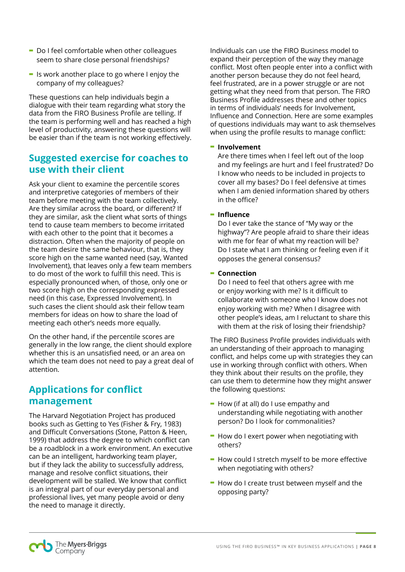- **-** Do I feel comfortable when other colleagues seem to share close personal friendships?
- **-** Is work another place to go where I enjoy the company of my colleagues?

These questions can help individuals begin a dialogue with their team regarding what story the data from the FIRO Business Profile are telling. If the team is performing well and has reached a high level of productivity, answering these questions will be easier than if the team is not working effectively.

# **Suggested exercise for coaches to use with their client**

Ask your client to examine the percentile scores and interpretive categories of members of their team before meeting with the team collectively. Are they similar across the board, or different? If they are similar, ask the client what sorts of things tend to cause team members to become irritated with each other to the point that it becomes a distraction. Often when the majority of people on the team desire the same behaviour, that is, they score high on the same wanted need (say, Wanted Involvement), that leaves only a few team members to do most of the work to fulfill this need. This is especially pronounced when, of those, only one or two score high on the corresponding expressed need (in this case, Expressed Involvement). In such cases the client should ask their fellow team members for ideas on how to share the load of meeting each other's needs more equally.

On the other hand, if the percentile scores are generally in the low range, the client should explore whether this is an unsatisfied need, or an area on which the team does not need to pay a great deal of attention.

# **Applications for conflict management**

The Harvard Negotiation Project has produced books such as Getting to Yes (Fisher & Fry, 1983) and Difficult Conversations (Stone, Patton & Heen, 1999) that address the degree to which conflict can be a roadblock in a work environment. An executive can be an intelligent, hardworking team player, but if they lack the ability to successfully address, manage and resolve conflict situations, their development will be stalled. We know that conflict is an integral part of our everyday personal and professional lives, yet many people avoid or deny the need to manage it directly.

Individuals can use the FIRO Business model to expand their perception of the way they manage conflict. Most often people enter into a conflict with another person because they do not feel heard, feel frustrated, are in a power struggle or are not getting what they need from that person. The FIRO Business Profile addresses these and other topics in terms of individuals' needs for Involvement, Influence and Connection. Here are some examples of questions individuals may want to ask themselves when using the profile results to manage conflict:

#### **- Involvement**

Are there times when I feel left out of the loop and my feelings are hurt and I feel frustrated? Do I know who needs to be included in projects to cover all my bases? Do I feel defensive at times when I am denied information shared by others in the office?

#### **- Influence**

Do I ever take the stance of "My way or the highway"? Are people afraid to share their ideas with me for fear of what my reaction will be? Do I state what I am thinking or feeling even if it opposes the general consensus?

#### **- Connection**

Do I need to feel that others agree with me or enjoy working with me? Is it difficult to collaborate with someone who I know does not enjoy working with me? When I disagree with other people's ideas, am I reluctant to share this with them at the risk of losing their friendship?

The FIRO Business Profile provides individuals with an understanding of their approach to managing conflict, and helps come up with strategies they can use in working through conflict with others. When they think about their results on the profile, they can use them to determine how they might answer the following questions:

- **-** How (if at all) do I use empathy and understanding while negotiating with another person? Do I look for commonalities?
- **-** How do I exert power when negotiating with others?
- **-** How could I stretch myself to be more effective when negotiating with others?
- **-** How do I create trust between myself and the opposing party?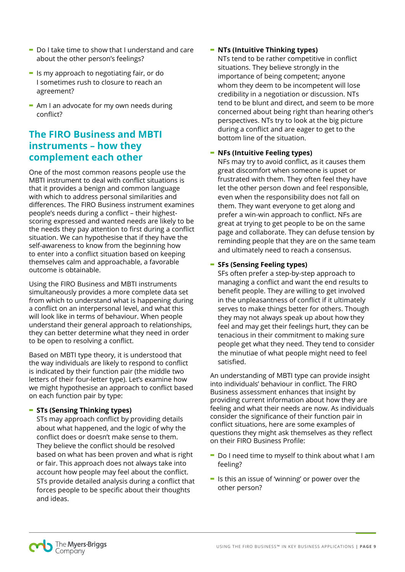- **-** Do I take time to show that I understand and care about the other person's feelings?
- **-** Is my approach to negotiating fair, or do I sometimes rush to closure to reach an agreement?
- **-** Am I an advocate for my own needs during conflict?

# **The FIRO Business and MBTI instruments – how they complement each other**

One of the most common reasons people use the MBTI instrument to deal with conflict situations is that it provides a benign and common language with which to address personal similarities and differences. The FIRO Business instrument examines people's needs during a conflict – their highestscoring expressed and wanted needs are likely to be the needs they pay attention to first during a conflict situation. We can hypothesise that if they have the self-awareness to know from the beginning how to enter into a conflict situation based on keeping themselves calm and approachable, a favorable outcome is obtainable.

Using the FIRO Business and MBTI instruments simultaneously provides a more complete data set from which to understand what is happening during a conflict on an interpersonal level, and what this will look like in terms of behaviour. When people understand their general approach to relationships, they can better determine what they need in order to be open to resolving a conflict.

Based on MBTI type theory, it is understood that the way individuals are likely to respond to conflict is indicated by their function pair (the middle two letters of their four-letter type). Let's examine how we might hypothesise an approach to conflict based on each function pair by type:

#### **- STs (Sensing Thinking types)**

STs may approach conflict by providing details about what happened, and the logic of why the conflict does or doesn't make sense to them. They believe the conflict should be resolved based on what has been proven and what is right or fair. This approach does not always take into account how people may feel about the conflict. STs provide detailed analysis during a conflict that forces people to be specific about their thoughts and ideas.

## **- NTs (Intuitive Thinking types)**

NTs tend to be rather competitive in conflict situations. They believe strongly in the importance of being competent; anyone whom they deem to be incompetent will lose credibility in a negotiation or discussion. NTs tend to be blunt and direct, and seem to be more concerned about being right than hearing other's perspectives. NTs try to look at the big picture during a conflict and are eager to get to the bottom line of the situation.

## **- NFs (Intuitive Feeling types)**

NFs may try to avoid conflict, as it causes them great discomfort when someone is upset or frustrated with them. They often feel they have let the other person down and feel responsible, even when the responsibility does not fall on them. They want everyone to get along and prefer a win-win approach to conflict. NFs are great at trying to get people to be on the same page and collaborate. They can defuse tension by reminding people that they are on the same team and ultimately need to reach a consensus.

## **- SFs (Sensing Feeling types)**

SFs often prefer a step-by-step approach to managing a conflict and want the end results to benefit people. They are willing to get involved in the unpleasantness of conflict if it ultimately serves to make things better for others. Though they may not always speak up about how they feel and may get their feelings hurt, they can be tenacious in their commitment to making sure people get what they need. They tend to consider the minutiae of what people might need to feel satisfied.

An understanding of MBTI type can provide insight into individuals' behaviour in conflict. The FIRO Business assessment enhances that insight by providing current information about how they are feeling and what their needs are now. As individuals consider the significance of their function pair in conflict situations, here are some examples of questions they might ask themselves as they reflect on their FIRO Business Profile:

- **-** Do I need time to myself to think about what I am feeling?
- **-** Is this an issue of 'winning' or power over the other person?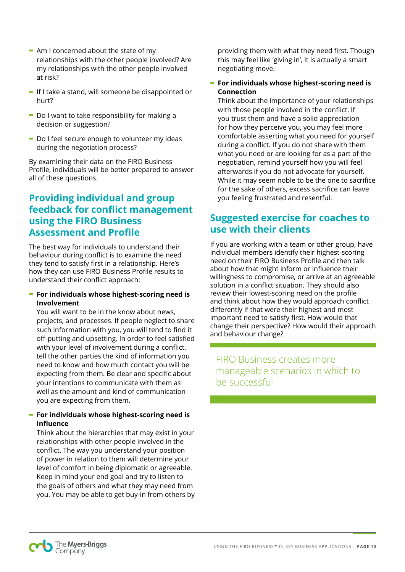- **-** Am I concerned about the state of my relationships with the other people involved? Are my relationships with the other people involved at risk?
- **-** If I take a stand, will someone be disappointed or hurt?
- **-** Do I want to take responsibility for making a decision or suggestion?
- **-** Do I feel secure enough to volunteer my ideas during the negotiation process?

By examining their data on the FIRO Business Profile, individuals will be better prepared to answer all of these questions.

# **Providing individual and group feedback for conflict management using the FIRO Business Assessment and Profile**

The best way for individuals to understand their behaviour during conflict is to examine the need they tend to satisfy first in a relationship. Here's how they can use FIRO Business Profile results to understand their conflict approach:

#### **- For individuals whose highest-scoring need is Involvement**

You will want to be in the know about news, projects, and processes. If people neglect to share such information with you, you will tend to find it off-putting and upsetting. In order to feel satisfied with your level of involvement during a conflict, tell the other parties the kind of information you need to know and how much contact you will be expecting from them. Be clear and specific about your intentions to communicate with them as well as the amount and kind of communication you are expecting from them.

## **- For individuals whose highest-scoring need is Influence**

Think about the hierarchies that may exist in your relationships with other people involved in the conflict. The way you understand your position of power in relation to them will determine your level of comfort in being diplomatic or agreeable. Keep in mind your end goal and try to listen to the goals of others and what they may need from you. You may be able to get buy-in from others by providing them with what they need first. Though this may feel like 'giving in', it is actually a smart negotiating move.

## **- For individuals whose highest-scoring need is Connection**

Think about the importance of your relationships with those people involved in the conflict. If you trust them and have a solid appreciation for how they perceive you, you may feel more comfortable asserting what you need for yourself during a conflict. If you do not share with them what you need or are looking for as a part of the negotiation, remind yourself how you will feel afterwards if you do not advocate for yourself. While it may seem noble to be the one to sacrifice for the sake of others, excess sacrifice can leave you feeling frustrated and resentful.

# **Suggested exercise for coaches to use with their clients**

If you are working with a team or other group, have individual members identify their highest-scoring need on their FIRO Business Profile and then talk about how that might inform or influence their willingness to compromise, or arrive at an agreeable solution in a conflict situation. They should also review their lowest-scoring need on the profile and think about how they would approach conflict differently if that were their highest and most important need to satisfy first. How would that change their perspective? How would their approach and behaviour change?

FIRO Business creates more manageable scenarios in which to be successful

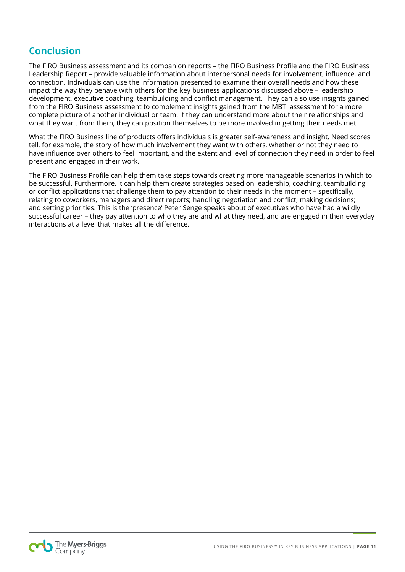# **Conclusion**

The FIRO Business assessment and its companion reports – the FIRO Business Profile and the FIRO Business Leadership Report – provide valuable information about interpersonal needs for involvement, influence, and connection. Individuals can use the information presented to examine their overall needs and how these impact the way they behave with others for the key business applications discussed above – leadership development, executive coaching, teambuilding and conflict management. They can also use insights gained from the FIRO Business assessment to complement insights gained from the MBTI assessment for a more complete picture of another individual or team. If they can understand more about their relationships and what they want from them, they can position themselves to be more involved in getting their needs met.

What the FIRO Business line of products offers individuals is greater self-awareness and insight. Need scores tell, for example, the story of how much involvement they want with others, whether or not they need to have influence over others to feel important, and the extent and level of connection they need in order to feel present and engaged in their work.

The FIRO Business Profile can help them take steps towards creating more manageable scenarios in which to be successful. Furthermore, it can help them create strategies based on leadership, coaching, teambuilding or conflict applications that challenge them to pay attention to their needs in the moment – specifically, relating to coworkers, managers and direct reports; handling negotiation and conflict; making decisions; and setting priorities. This is the 'presence' Peter Senge speaks about of executives who have had a wildly successful career – they pay attention to who they are and what they need, and are engaged in their everyday interactions at a level that makes all the difference.